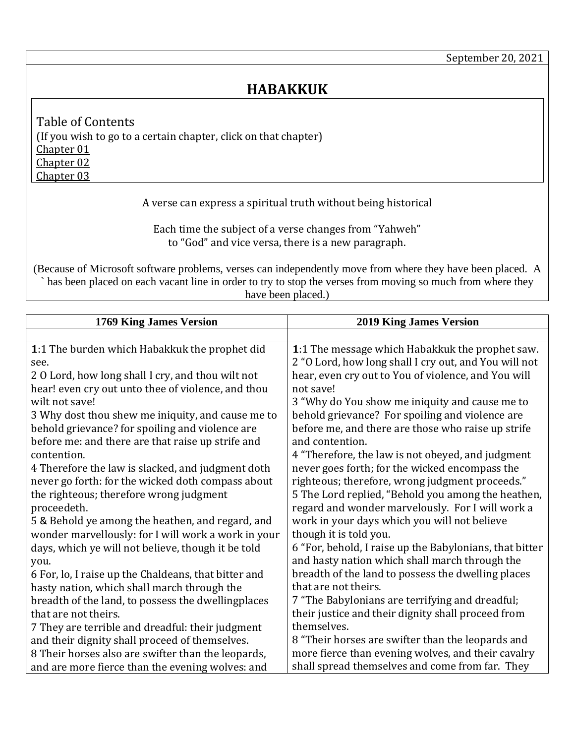## **HABAKKUK**

<span id="page-0-3"></span><span id="page-0-2"></span><span id="page-0-1"></span>Table of Contents (If you wish to go to a certain chapter, click on that chapter) [Chapter 01](#page-0-0) [Chapter 02](#page-1-0) [Chapter 03](#page-3-0)

## A verse can express a spiritual truth without being historical

Each time the subject of a verse changes from "Yahweh" to "God" and vice versa, there is a new paragraph.

(Because of Microsoft software problems, verses can independently move from where they have been placed. A ` has been placed on each vacant line in order to try to stop the verses from moving so much from where they have been placed.)

<span id="page-0-0"></span>

| 1769 King James Version                              | <b>2019 King James Version</b>                          |
|------------------------------------------------------|---------------------------------------------------------|
|                                                      |                                                         |
| 1:1 The burden which Habakkuk the prophet did        | 1:1 The message which Habakkuk the prophet saw.         |
| see.                                                 | 2 "O Lord, how long shall I cry out, and You will not   |
| 2 0 Lord, how long shall I cry, and thou wilt not    | hear, even cry out to You of violence, and You will     |
| hear! even cry out unto thee of violence, and thou   | not save!                                               |
| wilt not save!                                       | 3 "Why do You show me iniquity and cause me to          |
| 3 Why dost thou shew me iniquity, and cause me to    | behold grievance? For spoiling and violence are         |
| behold grievance? for spoiling and violence are      | before me, and there are those who raise up strife      |
| before me: and there are that raise up strife and    | and contention.                                         |
| contention.                                          | 4 "Therefore, the law is not obeyed, and judgment       |
| 4 Therefore the law is slacked, and judgment doth    | never goes forth; for the wicked encompass the          |
| never go forth: for the wicked doth compass about    | righteous; therefore, wrong judgment proceeds."         |
| the righteous; therefore wrong judgment              | 5 The Lord replied, "Behold you among the heathen,      |
| proceedeth.                                          | regard and wonder marvelously. For I will work a        |
| 5 & Behold ye among the heathen, and regard, and     | work in your days which you will not believe            |
| wonder marvellously: for I will work a work in your  | though it is told you.                                  |
| days, which ye will not believe, though it be told   | 6 "For, behold, I raise up the Babylonians, that bitter |
| you.                                                 | and hasty nation which shall march through the          |
| 6 For, lo, I raise up the Chaldeans, that bitter and | breadth of the land to possess the dwelling places      |
| hasty nation, which shall march through the          | that are not theirs.                                    |
| breadth of the land, to possess the dwellingplaces   | 7 "The Babylonians are terrifying and dreadful;         |
| that are not theirs.                                 | their justice and their dignity shall proceed from      |
| 7 They are terrible and dreadful: their judgment     | themselves.                                             |
| and their dignity shall proceed of themselves.       | 8 "Their horses are swifter than the leopards and       |
| 8 Their horses also are swifter than the leopards,   | more fierce than evening wolves, and their cavalry      |
| and are more fierce than the evening wolves: and     | shall spread themselves and come from far. They         |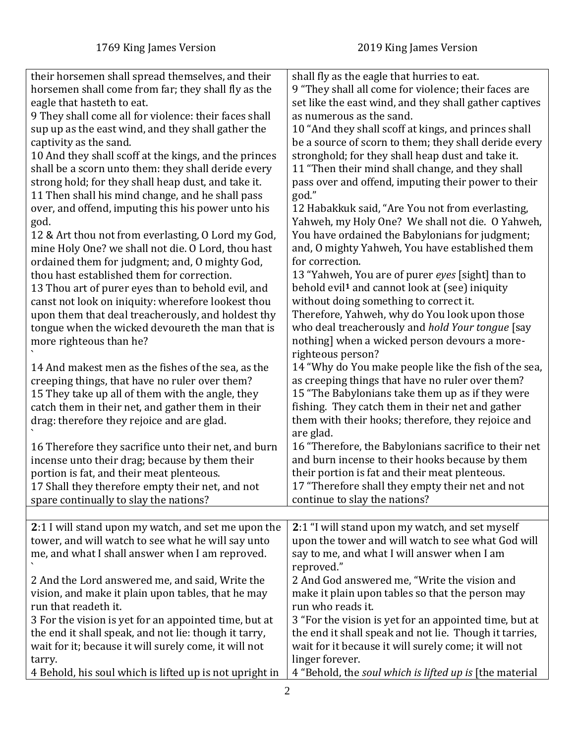<span id="page-1-0"></span>

| their horsemen shall spread themselves, and their       | shall fly as the eagle that hurries to eat.                |
|---------------------------------------------------------|------------------------------------------------------------|
| horsemen shall come from far; they shall fly as the     | 9 "They shall all come for violence; their faces are       |
|                                                         |                                                            |
| eagle that hasteth to eat.                              | set like the east wind, and they shall gather captives     |
| 9 They shall come all for violence: their faces shall   | as numerous as the sand.                                   |
| sup up as the east wind, and they shall gather the      | 10 "And they shall scoff at kings, and princes shall       |
| captivity as the sand.                                  | be a source of scorn to them; they shall deride every      |
| 10 And they shall scoff at the kings, and the princes   | stronghold; for they shall heap dust and take it.          |
|                                                         |                                                            |
| shall be a scorn unto them: they shall deride every     | 11 "Then their mind shall change, and they shall           |
| strong hold; for they shall heap dust, and take it.     | pass over and offend, imputing their power to their        |
| 11 Then shall his mind change, and he shall pass        | god."                                                      |
| over, and offend, imputing this his power unto his      | 12 Habakkuk said, "Are You not from everlasting,           |
|                                                         |                                                            |
| god.                                                    | Yahweh, my Holy One? We shall not die. O Yahweh,           |
| 12 & Art thou not from everlasting, O Lord my God,      | You have ordained the Babylonians for judgment;            |
| mine Holy One? we shall not die. O Lord, thou hast      | and, O mighty Yahweh, You have established them            |
| ordained them for judgment; and, O mighty God,          | for correction.                                            |
| thou hast established them for correction.              | 13 "Yahweh, You are of purer eyes [sight] than to          |
|                                                         |                                                            |
| 13 Thou art of purer eyes than to behold evil, and      | behold evil <sup>1</sup> and cannot look at (see) iniquity |
| canst not look on iniquity: wherefore lookest thou      | without doing something to correct it.                     |
| upon them that deal treacherously, and holdest thy      | Therefore, Yahweh, why do You look upon those              |
| tongue when the wicked devoureth the man that is        | who deal treacherously and hold Your tongue [say           |
| more righteous than he?                                 | nothing] when a wicked person devours a more-              |
|                                                         |                                                            |
|                                                         | righteous person?                                          |
| 14 And makest men as the fishes of the sea, as the      | 14 "Why do You make people like the fish of the sea,       |
| creeping things, that have no ruler over them?          | as creeping things that have no ruler over them?           |
| 15 They take up all of them with the angle, they        | 15 "The Babylonians take them up as if they were           |
| catch them in their net, and gather them in their       | fishing. They catch them in their net and gather           |
|                                                         | them with their hooks; therefore, they rejoice and         |
| drag: therefore they rejoice and are glad.              |                                                            |
|                                                         | are glad.                                                  |
| 16 Therefore they sacrifice unto their net, and burn    | 16 "Therefore, the Babylonians sacrifice to their net      |
| incense unto their drag; because by them their          | and burn incense to their hooks because by them            |
| portion is fat, and their meat plenteous.               | their portion is fat and their meat plenteous.             |
| 17 Shall they therefore empty their net, and not        | 17 "Therefore shall they empty their net and not           |
|                                                         |                                                            |
| spare continually to slay the nations?                  | continue to slay the nations?                              |
|                                                         |                                                            |
| 2:1 I will stand upon my watch, and set me upon the     | 2:1 "I will stand upon my watch, and set myself            |
| tower, and will watch to see what he will say unto      | upon the tower and will watch to see what God will         |
| me, and what I shall answer when I am reproved.         | say to me, and what I will answer when I am                |
|                                                         | reproved."                                                 |
| 2 And the Lord answered me, and said, Write the         | 2 And God answered me, "Write the vision and               |
|                                                         |                                                            |
| vision, and make it plain upon tables, that he may      | make it plain upon tables so that the person may           |
| run that readeth it.                                    | run who reads it.                                          |
| 3 For the vision is yet for an appointed time, but at   | 3 "For the vision is yet for an appointed time, but at     |
| the end it shall speak, and not lie: though it tarry,   | the end it shall speak and not lie. Though it tarries,     |
| wait for it; because it will surely come, it will not   | wait for it because it will surely come; it will not       |
|                                                         |                                                            |
| tarry.                                                  | linger forever.                                            |
| 4 Behold, his soul which is lifted up is not upright in | 4 "Behold, the soul which is lifted up is [the material    |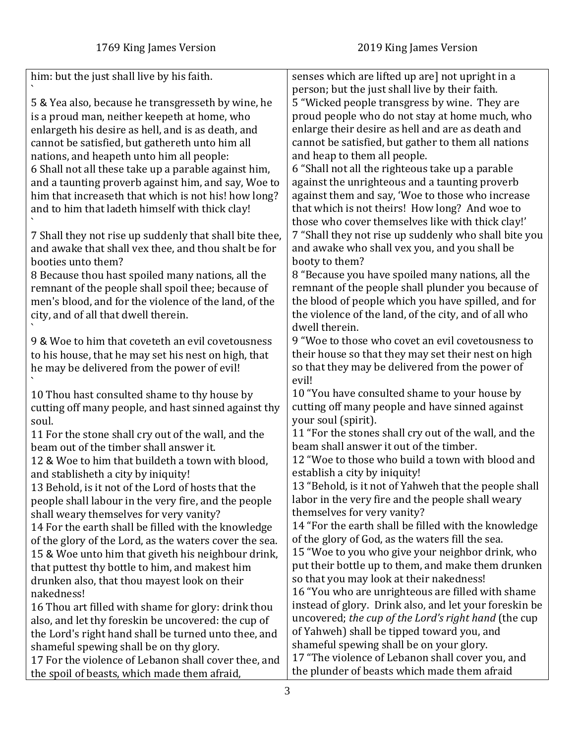| him: but the just shall live by his faith.<br>senses which are lifted up are] not upright in a<br>person; but the just shall live by their faith.<br>5 "Wicked people transgress by wine. They are<br>5 & Yea also, because he transgresseth by wine, he<br>proud people who do not stay at home much, who<br>is a proud man, neither keepeth at home, who<br>enlarge their desire as hell and are as death and<br>enlargeth his desire as hell, and is as death, and<br>cannot be satisfied, but gather to them all nations<br>cannot be satisfied, but gathereth unto him all<br>and heap to them all people.<br>nations, and heapeth unto him all people:<br>6 "Shall not all the righteous take up a parable<br>6 Shall not all these take up a parable against him,<br>against the unrighteous and a taunting proverb<br>and a taunting proverb against him, and say, Woe to<br>against them and say, 'Woe to those who increase<br>him that increaseth that which is not his! how long?<br>that which is not theirs! How long? And woe to<br>and to him that ladeth himself with thick clay!<br>those who cover themselves like with thick clay!'<br>7 "Shall they not rise up suddenly who shall bite you<br>7 Shall they not rise up suddenly that shall bite thee,<br>and awake who shall vex you, and you shall be<br>and awake that shall vex thee, and thou shalt be for<br>booty to them?<br>booties unto them?<br>8 "Because you have spoiled many nations, all the<br>8 Because thou hast spoiled many nations, all the<br>remnant of the people shall plunder you because of<br>remnant of the people shall spoil thee; because of<br>the blood of people which you have spilled, and for<br>men's blood, and for the violence of the land, of the<br>the violence of the land, of the city, and of all who<br>city, and of all that dwell therein.<br>dwell therein.<br>9 "Woe to those who covet an evil covetousness to<br>9 & Woe to him that coveteth an evil covetousness<br>their house so that they may set their nest on high<br>to his house, that he may set his nest on high, that<br>so that they may be delivered from the power of<br>he may be delivered from the power of evil!<br>evil!<br>10 "You have consulted shame to your house by<br>10 Thou hast consulted shame to thy house by<br>cutting off many people and have sinned against<br>cutting off many people, and hast sinned against thy<br>your soul (spirit).<br>soul.<br>11 "For the stones shall cry out of the wall, and the<br>11 For the stone shall cry out of the wall, and the<br>beam shall answer it out of the timber.<br>beam out of the timber shall answer it.<br>12 "Woe to those who build a town with blood and<br>12 & Woe to him that buildeth a town with blood,<br>establish a city by iniquity!<br>and stablisheth a city by iniquity!<br>13 "Behold, is it not of Yahweh that the people shall<br>13 Behold, is it not of the Lord of hosts that the<br>labor in the very fire and the people shall weary<br>people shall labour in the very fire, and the people<br>themselves for very vanity?<br>shall weary themselves for very vanity?<br>14 "For the earth shall be filled with the knowledge<br>14 For the earth shall be filled with the knowledge<br>of the glory of God, as the waters fill the sea.<br>of the glory of the Lord, as the waters cover the sea.<br>15 "Woe to you who give your neighbor drink, who<br>15 & Woe unto him that giveth his neighbour drink,<br>put their bottle up to them, and make them drunken<br>that puttest thy bottle to him, and makest him<br>so that you may look at their nakedness!<br>drunken also, that thou mayest look on their<br>16 "You who are unrighteous are filled with shame<br>nakedness! |  |
|---------------------------------------------------------------------------------------------------------------------------------------------------------------------------------------------------------------------------------------------------------------------------------------------------------------------------------------------------------------------------------------------------------------------------------------------------------------------------------------------------------------------------------------------------------------------------------------------------------------------------------------------------------------------------------------------------------------------------------------------------------------------------------------------------------------------------------------------------------------------------------------------------------------------------------------------------------------------------------------------------------------------------------------------------------------------------------------------------------------------------------------------------------------------------------------------------------------------------------------------------------------------------------------------------------------------------------------------------------------------------------------------------------------------------------------------------------------------------------------------------------------------------------------------------------------------------------------------------------------------------------------------------------------------------------------------------------------------------------------------------------------------------------------------------------------------------------------------------------------------------------------------------------------------------------------------------------------------------------------------------------------------------------------------------------------------------------------------------------------------------------------------------------------------------------------------------------------------------------------------------------------------------------------------------------------------------------------------------------------------------------------------------------------------------------------------------------------------------------------------------------------------------------------------------------------------------------------------------------------------------------------------------------------------------------------------------------------------------------------------------------------------------------------------------------------------------------------------------------------------------------------------------------------------------------------------------------------------------------------------------------------------------------------------------------------------------------------------------------------------------------------------------------------------------------------------------------------------------------------------------------------------------------------------------------------------------------------------------------------------------------------------------------------------------------------------------------------------------------------------------------------------------------------------------------------------------------------------------------------------------------------------------------------------------------------------------------------------------------------------------------------------------------|--|
|                                                                                                                                                                                                                                                                                                                                                                                                                                                                                                                                                                                                                                                                                                                                                                                                                                                                                                                                                                                                                                                                                                                                                                                                                                                                                                                                                                                                                                                                                                                                                                                                                                                                                                                                                                                                                                                                                                                                                                                                                                                                                                                                                                                                                                                                                                                                                                                                                                                                                                                                                                                                                                                                                                                                                                                                                                                                                                                                                                                                                                                                                                                                                                                                                                                                                                                                                                                                                                                                                                                                                                                                                                                                                                                                                                                 |  |
|                                                                                                                                                                                                                                                                                                                                                                                                                                                                                                                                                                                                                                                                                                                                                                                                                                                                                                                                                                                                                                                                                                                                                                                                                                                                                                                                                                                                                                                                                                                                                                                                                                                                                                                                                                                                                                                                                                                                                                                                                                                                                                                                                                                                                                                                                                                                                                                                                                                                                                                                                                                                                                                                                                                                                                                                                                                                                                                                                                                                                                                                                                                                                                                                                                                                                                                                                                                                                                                                                                                                                                                                                                                                                                                                                                                 |  |
|                                                                                                                                                                                                                                                                                                                                                                                                                                                                                                                                                                                                                                                                                                                                                                                                                                                                                                                                                                                                                                                                                                                                                                                                                                                                                                                                                                                                                                                                                                                                                                                                                                                                                                                                                                                                                                                                                                                                                                                                                                                                                                                                                                                                                                                                                                                                                                                                                                                                                                                                                                                                                                                                                                                                                                                                                                                                                                                                                                                                                                                                                                                                                                                                                                                                                                                                                                                                                                                                                                                                                                                                                                                                                                                                                                                 |  |
|                                                                                                                                                                                                                                                                                                                                                                                                                                                                                                                                                                                                                                                                                                                                                                                                                                                                                                                                                                                                                                                                                                                                                                                                                                                                                                                                                                                                                                                                                                                                                                                                                                                                                                                                                                                                                                                                                                                                                                                                                                                                                                                                                                                                                                                                                                                                                                                                                                                                                                                                                                                                                                                                                                                                                                                                                                                                                                                                                                                                                                                                                                                                                                                                                                                                                                                                                                                                                                                                                                                                                                                                                                                                                                                                                                                 |  |
|                                                                                                                                                                                                                                                                                                                                                                                                                                                                                                                                                                                                                                                                                                                                                                                                                                                                                                                                                                                                                                                                                                                                                                                                                                                                                                                                                                                                                                                                                                                                                                                                                                                                                                                                                                                                                                                                                                                                                                                                                                                                                                                                                                                                                                                                                                                                                                                                                                                                                                                                                                                                                                                                                                                                                                                                                                                                                                                                                                                                                                                                                                                                                                                                                                                                                                                                                                                                                                                                                                                                                                                                                                                                                                                                                                                 |  |
|                                                                                                                                                                                                                                                                                                                                                                                                                                                                                                                                                                                                                                                                                                                                                                                                                                                                                                                                                                                                                                                                                                                                                                                                                                                                                                                                                                                                                                                                                                                                                                                                                                                                                                                                                                                                                                                                                                                                                                                                                                                                                                                                                                                                                                                                                                                                                                                                                                                                                                                                                                                                                                                                                                                                                                                                                                                                                                                                                                                                                                                                                                                                                                                                                                                                                                                                                                                                                                                                                                                                                                                                                                                                                                                                                                                 |  |
|                                                                                                                                                                                                                                                                                                                                                                                                                                                                                                                                                                                                                                                                                                                                                                                                                                                                                                                                                                                                                                                                                                                                                                                                                                                                                                                                                                                                                                                                                                                                                                                                                                                                                                                                                                                                                                                                                                                                                                                                                                                                                                                                                                                                                                                                                                                                                                                                                                                                                                                                                                                                                                                                                                                                                                                                                                                                                                                                                                                                                                                                                                                                                                                                                                                                                                                                                                                                                                                                                                                                                                                                                                                                                                                                                                                 |  |
|                                                                                                                                                                                                                                                                                                                                                                                                                                                                                                                                                                                                                                                                                                                                                                                                                                                                                                                                                                                                                                                                                                                                                                                                                                                                                                                                                                                                                                                                                                                                                                                                                                                                                                                                                                                                                                                                                                                                                                                                                                                                                                                                                                                                                                                                                                                                                                                                                                                                                                                                                                                                                                                                                                                                                                                                                                                                                                                                                                                                                                                                                                                                                                                                                                                                                                                                                                                                                                                                                                                                                                                                                                                                                                                                                                                 |  |
|                                                                                                                                                                                                                                                                                                                                                                                                                                                                                                                                                                                                                                                                                                                                                                                                                                                                                                                                                                                                                                                                                                                                                                                                                                                                                                                                                                                                                                                                                                                                                                                                                                                                                                                                                                                                                                                                                                                                                                                                                                                                                                                                                                                                                                                                                                                                                                                                                                                                                                                                                                                                                                                                                                                                                                                                                                                                                                                                                                                                                                                                                                                                                                                                                                                                                                                                                                                                                                                                                                                                                                                                                                                                                                                                                                                 |  |
|                                                                                                                                                                                                                                                                                                                                                                                                                                                                                                                                                                                                                                                                                                                                                                                                                                                                                                                                                                                                                                                                                                                                                                                                                                                                                                                                                                                                                                                                                                                                                                                                                                                                                                                                                                                                                                                                                                                                                                                                                                                                                                                                                                                                                                                                                                                                                                                                                                                                                                                                                                                                                                                                                                                                                                                                                                                                                                                                                                                                                                                                                                                                                                                                                                                                                                                                                                                                                                                                                                                                                                                                                                                                                                                                                                                 |  |
|                                                                                                                                                                                                                                                                                                                                                                                                                                                                                                                                                                                                                                                                                                                                                                                                                                                                                                                                                                                                                                                                                                                                                                                                                                                                                                                                                                                                                                                                                                                                                                                                                                                                                                                                                                                                                                                                                                                                                                                                                                                                                                                                                                                                                                                                                                                                                                                                                                                                                                                                                                                                                                                                                                                                                                                                                                                                                                                                                                                                                                                                                                                                                                                                                                                                                                                                                                                                                                                                                                                                                                                                                                                                                                                                                                                 |  |
|                                                                                                                                                                                                                                                                                                                                                                                                                                                                                                                                                                                                                                                                                                                                                                                                                                                                                                                                                                                                                                                                                                                                                                                                                                                                                                                                                                                                                                                                                                                                                                                                                                                                                                                                                                                                                                                                                                                                                                                                                                                                                                                                                                                                                                                                                                                                                                                                                                                                                                                                                                                                                                                                                                                                                                                                                                                                                                                                                                                                                                                                                                                                                                                                                                                                                                                                                                                                                                                                                                                                                                                                                                                                                                                                                                                 |  |
|                                                                                                                                                                                                                                                                                                                                                                                                                                                                                                                                                                                                                                                                                                                                                                                                                                                                                                                                                                                                                                                                                                                                                                                                                                                                                                                                                                                                                                                                                                                                                                                                                                                                                                                                                                                                                                                                                                                                                                                                                                                                                                                                                                                                                                                                                                                                                                                                                                                                                                                                                                                                                                                                                                                                                                                                                                                                                                                                                                                                                                                                                                                                                                                                                                                                                                                                                                                                                                                                                                                                                                                                                                                                                                                                                                                 |  |
|                                                                                                                                                                                                                                                                                                                                                                                                                                                                                                                                                                                                                                                                                                                                                                                                                                                                                                                                                                                                                                                                                                                                                                                                                                                                                                                                                                                                                                                                                                                                                                                                                                                                                                                                                                                                                                                                                                                                                                                                                                                                                                                                                                                                                                                                                                                                                                                                                                                                                                                                                                                                                                                                                                                                                                                                                                                                                                                                                                                                                                                                                                                                                                                                                                                                                                                                                                                                                                                                                                                                                                                                                                                                                                                                                                                 |  |
|                                                                                                                                                                                                                                                                                                                                                                                                                                                                                                                                                                                                                                                                                                                                                                                                                                                                                                                                                                                                                                                                                                                                                                                                                                                                                                                                                                                                                                                                                                                                                                                                                                                                                                                                                                                                                                                                                                                                                                                                                                                                                                                                                                                                                                                                                                                                                                                                                                                                                                                                                                                                                                                                                                                                                                                                                                                                                                                                                                                                                                                                                                                                                                                                                                                                                                                                                                                                                                                                                                                                                                                                                                                                                                                                                                                 |  |
|                                                                                                                                                                                                                                                                                                                                                                                                                                                                                                                                                                                                                                                                                                                                                                                                                                                                                                                                                                                                                                                                                                                                                                                                                                                                                                                                                                                                                                                                                                                                                                                                                                                                                                                                                                                                                                                                                                                                                                                                                                                                                                                                                                                                                                                                                                                                                                                                                                                                                                                                                                                                                                                                                                                                                                                                                                                                                                                                                                                                                                                                                                                                                                                                                                                                                                                                                                                                                                                                                                                                                                                                                                                                                                                                                                                 |  |
|                                                                                                                                                                                                                                                                                                                                                                                                                                                                                                                                                                                                                                                                                                                                                                                                                                                                                                                                                                                                                                                                                                                                                                                                                                                                                                                                                                                                                                                                                                                                                                                                                                                                                                                                                                                                                                                                                                                                                                                                                                                                                                                                                                                                                                                                                                                                                                                                                                                                                                                                                                                                                                                                                                                                                                                                                                                                                                                                                                                                                                                                                                                                                                                                                                                                                                                                                                                                                                                                                                                                                                                                                                                                                                                                                                                 |  |
|                                                                                                                                                                                                                                                                                                                                                                                                                                                                                                                                                                                                                                                                                                                                                                                                                                                                                                                                                                                                                                                                                                                                                                                                                                                                                                                                                                                                                                                                                                                                                                                                                                                                                                                                                                                                                                                                                                                                                                                                                                                                                                                                                                                                                                                                                                                                                                                                                                                                                                                                                                                                                                                                                                                                                                                                                                                                                                                                                                                                                                                                                                                                                                                                                                                                                                                                                                                                                                                                                                                                                                                                                                                                                                                                                                                 |  |
|                                                                                                                                                                                                                                                                                                                                                                                                                                                                                                                                                                                                                                                                                                                                                                                                                                                                                                                                                                                                                                                                                                                                                                                                                                                                                                                                                                                                                                                                                                                                                                                                                                                                                                                                                                                                                                                                                                                                                                                                                                                                                                                                                                                                                                                                                                                                                                                                                                                                                                                                                                                                                                                                                                                                                                                                                                                                                                                                                                                                                                                                                                                                                                                                                                                                                                                                                                                                                                                                                                                                                                                                                                                                                                                                                                                 |  |
|                                                                                                                                                                                                                                                                                                                                                                                                                                                                                                                                                                                                                                                                                                                                                                                                                                                                                                                                                                                                                                                                                                                                                                                                                                                                                                                                                                                                                                                                                                                                                                                                                                                                                                                                                                                                                                                                                                                                                                                                                                                                                                                                                                                                                                                                                                                                                                                                                                                                                                                                                                                                                                                                                                                                                                                                                                                                                                                                                                                                                                                                                                                                                                                                                                                                                                                                                                                                                                                                                                                                                                                                                                                                                                                                                                                 |  |
|                                                                                                                                                                                                                                                                                                                                                                                                                                                                                                                                                                                                                                                                                                                                                                                                                                                                                                                                                                                                                                                                                                                                                                                                                                                                                                                                                                                                                                                                                                                                                                                                                                                                                                                                                                                                                                                                                                                                                                                                                                                                                                                                                                                                                                                                                                                                                                                                                                                                                                                                                                                                                                                                                                                                                                                                                                                                                                                                                                                                                                                                                                                                                                                                                                                                                                                                                                                                                                                                                                                                                                                                                                                                                                                                                                                 |  |
|                                                                                                                                                                                                                                                                                                                                                                                                                                                                                                                                                                                                                                                                                                                                                                                                                                                                                                                                                                                                                                                                                                                                                                                                                                                                                                                                                                                                                                                                                                                                                                                                                                                                                                                                                                                                                                                                                                                                                                                                                                                                                                                                                                                                                                                                                                                                                                                                                                                                                                                                                                                                                                                                                                                                                                                                                                                                                                                                                                                                                                                                                                                                                                                                                                                                                                                                                                                                                                                                                                                                                                                                                                                                                                                                                                                 |  |
|                                                                                                                                                                                                                                                                                                                                                                                                                                                                                                                                                                                                                                                                                                                                                                                                                                                                                                                                                                                                                                                                                                                                                                                                                                                                                                                                                                                                                                                                                                                                                                                                                                                                                                                                                                                                                                                                                                                                                                                                                                                                                                                                                                                                                                                                                                                                                                                                                                                                                                                                                                                                                                                                                                                                                                                                                                                                                                                                                                                                                                                                                                                                                                                                                                                                                                                                                                                                                                                                                                                                                                                                                                                                                                                                                                                 |  |
|                                                                                                                                                                                                                                                                                                                                                                                                                                                                                                                                                                                                                                                                                                                                                                                                                                                                                                                                                                                                                                                                                                                                                                                                                                                                                                                                                                                                                                                                                                                                                                                                                                                                                                                                                                                                                                                                                                                                                                                                                                                                                                                                                                                                                                                                                                                                                                                                                                                                                                                                                                                                                                                                                                                                                                                                                                                                                                                                                                                                                                                                                                                                                                                                                                                                                                                                                                                                                                                                                                                                                                                                                                                                                                                                                                                 |  |
|                                                                                                                                                                                                                                                                                                                                                                                                                                                                                                                                                                                                                                                                                                                                                                                                                                                                                                                                                                                                                                                                                                                                                                                                                                                                                                                                                                                                                                                                                                                                                                                                                                                                                                                                                                                                                                                                                                                                                                                                                                                                                                                                                                                                                                                                                                                                                                                                                                                                                                                                                                                                                                                                                                                                                                                                                                                                                                                                                                                                                                                                                                                                                                                                                                                                                                                                                                                                                                                                                                                                                                                                                                                                                                                                                                                 |  |
|                                                                                                                                                                                                                                                                                                                                                                                                                                                                                                                                                                                                                                                                                                                                                                                                                                                                                                                                                                                                                                                                                                                                                                                                                                                                                                                                                                                                                                                                                                                                                                                                                                                                                                                                                                                                                                                                                                                                                                                                                                                                                                                                                                                                                                                                                                                                                                                                                                                                                                                                                                                                                                                                                                                                                                                                                                                                                                                                                                                                                                                                                                                                                                                                                                                                                                                                                                                                                                                                                                                                                                                                                                                                                                                                                                                 |  |
|                                                                                                                                                                                                                                                                                                                                                                                                                                                                                                                                                                                                                                                                                                                                                                                                                                                                                                                                                                                                                                                                                                                                                                                                                                                                                                                                                                                                                                                                                                                                                                                                                                                                                                                                                                                                                                                                                                                                                                                                                                                                                                                                                                                                                                                                                                                                                                                                                                                                                                                                                                                                                                                                                                                                                                                                                                                                                                                                                                                                                                                                                                                                                                                                                                                                                                                                                                                                                                                                                                                                                                                                                                                                                                                                                                                 |  |
|                                                                                                                                                                                                                                                                                                                                                                                                                                                                                                                                                                                                                                                                                                                                                                                                                                                                                                                                                                                                                                                                                                                                                                                                                                                                                                                                                                                                                                                                                                                                                                                                                                                                                                                                                                                                                                                                                                                                                                                                                                                                                                                                                                                                                                                                                                                                                                                                                                                                                                                                                                                                                                                                                                                                                                                                                                                                                                                                                                                                                                                                                                                                                                                                                                                                                                                                                                                                                                                                                                                                                                                                                                                                                                                                                                                 |  |
|                                                                                                                                                                                                                                                                                                                                                                                                                                                                                                                                                                                                                                                                                                                                                                                                                                                                                                                                                                                                                                                                                                                                                                                                                                                                                                                                                                                                                                                                                                                                                                                                                                                                                                                                                                                                                                                                                                                                                                                                                                                                                                                                                                                                                                                                                                                                                                                                                                                                                                                                                                                                                                                                                                                                                                                                                                                                                                                                                                                                                                                                                                                                                                                                                                                                                                                                                                                                                                                                                                                                                                                                                                                                                                                                                                                 |  |
|                                                                                                                                                                                                                                                                                                                                                                                                                                                                                                                                                                                                                                                                                                                                                                                                                                                                                                                                                                                                                                                                                                                                                                                                                                                                                                                                                                                                                                                                                                                                                                                                                                                                                                                                                                                                                                                                                                                                                                                                                                                                                                                                                                                                                                                                                                                                                                                                                                                                                                                                                                                                                                                                                                                                                                                                                                                                                                                                                                                                                                                                                                                                                                                                                                                                                                                                                                                                                                                                                                                                                                                                                                                                                                                                                                                 |  |
|                                                                                                                                                                                                                                                                                                                                                                                                                                                                                                                                                                                                                                                                                                                                                                                                                                                                                                                                                                                                                                                                                                                                                                                                                                                                                                                                                                                                                                                                                                                                                                                                                                                                                                                                                                                                                                                                                                                                                                                                                                                                                                                                                                                                                                                                                                                                                                                                                                                                                                                                                                                                                                                                                                                                                                                                                                                                                                                                                                                                                                                                                                                                                                                                                                                                                                                                                                                                                                                                                                                                                                                                                                                                                                                                                                                 |  |
|                                                                                                                                                                                                                                                                                                                                                                                                                                                                                                                                                                                                                                                                                                                                                                                                                                                                                                                                                                                                                                                                                                                                                                                                                                                                                                                                                                                                                                                                                                                                                                                                                                                                                                                                                                                                                                                                                                                                                                                                                                                                                                                                                                                                                                                                                                                                                                                                                                                                                                                                                                                                                                                                                                                                                                                                                                                                                                                                                                                                                                                                                                                                                                                                                                                                                                                                                                                                                                                                                                                                                                                                                                                                                                                                                                                 |  |
|                                                                                                                                                                                                                                                                                                                                                                                                                                                                                                                                                                                                                                                                                                                                                                                                                                                                                                                                                                                                                                                                                                                                                                                                                                                                                                                                                                                                                                                                                                                                                                                                                                                                                                                                                                                                                                                                                                                                                                                                                                                                                                                                                                                                                                                                                                                                                                                                                                                                                                                                                                                                                                                                                                                                                                                                                                                                                                                                                                                                                                                                                                                                                                                                                                                                                                                                                                                                                                                                                                                                                                                                                                                                                                                                                                                 |  |
|                                                                                                                                                                                                                                                                                                                                                                                                                                                                                                                                                                                                                                                                                                                                                                                                                                                                                                                                                                                                                                                                                                                                                                                                                                                                                                                                                                                                                                                                                                                                                                                                                                                                                                                                                                                                                                                                                                                                                                                                                                                                                                                                                                                                                                                                                                                                                                                                                                                                                                                                                                                                                                                                                                                                                                                                                                                                                                                                                                                                                                                                                                                                                                                                                                                                                                                                                                                                                                                                                                                                                                                                                                                                                                                                                                                 |  |
|                                                                                                                                                                                                                                                                                                                                                                                                                                                                                                                                                                                                                                                                                                                                                                                                                                                                                                                                                                                                                                                                                                                                                                                                                                                                                                                                                                                                                                                                                                                                                                                                                                                                                                                                                                                                                                                                                                                                                                                                                                                                                                                                                                                                                                                                                                                                                                                                                                                                                                                                                                                                                                                                                                                                                                                                                                                                                                                                                                                                                                                                                                                                                                                                                                                                                                                                                                                                                                                                                                                                                                                                                                                                                                                                                                                 |  |
|                                                                                                                                                                                                                                                                                                                                                                                                                                                                                                                                                                                                                                                                                                                                                                                                                                                                                                                                                                                                                                                                                                                                                                                                                                                                                                                                                                                                                                                                                                                                                                                                                                                                                                                                                                                                                                                                                                                                                                                                                                                                                                                                                                                                                                                                                                                                                                                                                                                                                                                                                                                                                                                                                                                                                                                                                                                                                                                                                                                                                                                                                                                                                                                                                                                                                                                                                                                                                                                                                                                                                                                                                                                                                                                                                                                 |  |
|                                                                                                                                                                                                                                                                                                                                                                                                                                                                                                                                                                                                                                                                                                                                                                                                                                                                                                                                                                                                                                                                                                                                                                                                                                                                                                                                                                                                                                                                                                                                                                                                                                                                                                                                                                                                                                                                                                                                                                                                                                                                                                                                                                                                                                                                                                                                                                                                                                                                                                                                                                                                                                                                                                                                                                                                                                                                                                                                                                                                                                                                                                                                                                                                                                                                                                                                                                                                                                                                                                                                                                                                                                                                                                                                                                                 |  |
|                                                                                                                                                                                                                                                                                                                                                                                                                                                                                                                                                                                                                                                                                                                                                                                                                                                                                                                                                                                                                                                                                                                                                                                                                                                                                                                                                                                                                                                                                                                                                                                                                                                                                                                                                                                                                                                                                                                                                                                                                                                                                                                                                                                                                                                                                                                                                                                                                                                                                                                                                                                                                                                                                                                                                                                                                                                                                                                                                                                                                                                                                                                                                                                                                                                                                                                                                                                                                                                                                                                                                                                                                                                                                                                                                                                 |  |
|                                                                                                                                                                                                                                                                                                                                                                                                                                                                                                                                                                                                                                                                                                                                                                                                                                                                                                                                                                                                                                                                                                                                                                                                                                                                                                                                                                                                                                                                                                                                                                                                                                                                                                                                                                                                                                                                                                                                                                                                                                                                                                                                                                                                                                                                                                                                                                                                                                                                                                                                                                                                                                                                                                                                                                                                                                                                                                                                                                                                                                                                                                                                                                                                                                                                                                                                                                                                                                                                                                                                                                                                                                                                                                                                                                                 |  |
| instead of glory. Drink also, and let your foreskin be<br>16 Thou art filled with shame for glory: drink thou                                                                                                                                                                                                                                                                                                                                                                                                                                                                                                                                                                                                                                                                                                                                                                                                                                                                                                                                                                                                                                                                                                                                                                                                                                                                                                                                                                                                                                                                                                                                                                                                                                                                                                                                                                                                                                                                                                                                                                                                                                                                                                                                                                                                                                                                                                                                                                                                                                                                                                                                                                                                                                                                                                                                                                                                                                                                                                                                                                                                                                                                                                                                                                                                                                                                                                                                                                                                                                                                                                                                                                                                                                                                   |  |
| uncovered; the cup of the Lord's right hand (the cup<br>also, and let thy foreskin be uncovered: the cup of                                                                                                                                                                                                                                                                                                                                                                                                                                                                                                                                                                                                                                                                                                                                                                                                                                                                                                                                                                                                                                                                                                                                                                                                                                                                                                                                                                                                                                                                                                                                                                                                                                                                                                                                                                                                                                                                                                                                                                                                                                                                                                                                                                                                                                                                                                                                                                                                                                                                                                                                                                                                                                                                                                                                                                                                                                                                                                                                                                                                                                                                                                                                                                                                                                                                                                                                                                                                                                                                                                                                                                                                                                                                     |  |
| of Yahweh) shall be tipped toward you, and<br>the Lord's right hand shall be turned unto thee, and                                                                                                                                                                                                                                                                                                                                                                                                                                                                                                                                                                                                                                                                                                                                                                                                                                                                                                                                                                                                                                                                                                                                                                                                                                                                                                                                                                                                                                                                                                                                                                                                                                                                                                                                                                                                                                                                                                                                                                                                                                                                                                                                                                                                                                                                                                                                                                                                                                                                                                                                                                                                                                                                                                                                                                                                                                                                                                                                                                                                                                                                                                                                                                                                                                                                                                                                                                                                                                                                                                                                                                                                                                                                              |  |
| shameful spewing shall be on your glory.<br>shameful spewing shall be on thy glory.                                                                                                                                                                                                                                                                                                                                                                                                                                                                                                                                                                                                                                                                                                                                                                                                                                                                                                                                                                                                                                                                                                                                                                                                                                                                                                                                                                                                                                                                                                                                                                                                                                                                                                                                                                                                                                                                                                                                                                                                                                                                                                                                                                                                                                                                                                                                                                                                                                                                                                                                                                                                                                                                                                                                                                                                                                                                                                                                                                                                                                                                                                                                                                                                                                                                                                                                                                                                                                                                                                                                                                                                                                                                                             |  |
| 17 "The violence of Lebanon shall cover you, and<br>17 For the violence of Lebanon shall cover thee, and                                                                                                                                                                                                                                                                                                                                                                                                                                                                                                                                                                                                                                                                                                                                                                                                                                                                                                                                                                                                                                                                                                                                                                                                                                                                                                                                                                                                                                                                                                                                                                                                                                                                                                                                                                                                                                                                                                                                                                                                                                                                                                                                                                                                                                                                                                                                                                                                                                                                                                                                                                                                                                                                                                                                                                                                                                                                                                                                                                                                                                                                                                                                                                                                                                                                                                                                                                                                                                                                                                                                                                                                                                                                        |  |
| the plunder of beasts which made them afraid<br>the spoil of beasts, which made them afraid,                                                                                                                                                                                                                                                                                                                                                                                                                                                                                                                                                                                                                                                                                                                                                                                                                                                                                                                                                                                                                                                                                                                                                                                                                                                                                                                                                                                                                                                                                                                                                                                                                                                                                                                                                                                                                                                                                                                                                                                                                                                                                                                                                                                                                                                                                                                                                                                                                                                                                                                                                                                                                                                                                                                                                                                                                                                                                                                                                                                                                                                                                                                                                                                                                                                                                                                                                                                                                                                                                                                                                                                                                                                                                    |  |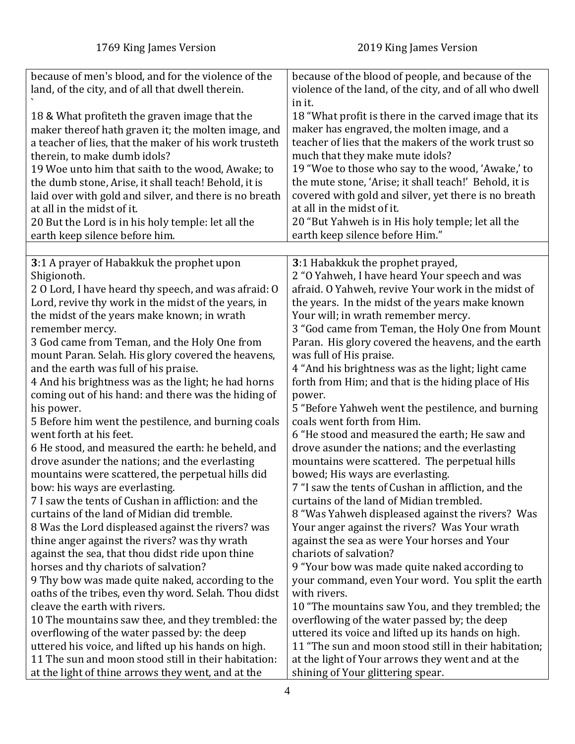<span id="page-3-0"></span>

| because of men's blood, and for the violence of the      | because of the blood of people, and because of the                                |
|----------------------------------------------------------|-----------------------------------------------------------------------------------|
| land, of the city, and of all that dwell therein.        | violence of the land, of the city, and of all who dwell                           |
|                                                          | in it.                                                                            |
| 18 & What profiteth the graven image that the            | 18 "What profit is there in the carved image that its                             |
| maker thereof hath graven it; the molten image, and      | maker has engraved, the molten image, and a                                       |
| a teacher of lies, that the maker of his work trusteth   | teacher of lies that the makers of the work trust so                              |
| therein, to make dumb idols?                             | much that they make mute idols?                                                   |
| 19 Woe unto him that saith to the wood, Awake; to        | 19 "Woe to those who say to the wood, 'Awake,' to                                 |
| the dumb stone, Arise, it shall teach! Behold, it is     | the mute stone, 'Arise; it shall teach!' Behold, it is                            |
| laid over with gold and silver, and there is no breath   | covered with gold and silver, yet there is no breath                              |
| at all in the midst of it.                               | at all in the midst of it.                                                        |
| 20 But the Lord is in his holy temple: let all the       | 20 "But Yahweh is in His holy temple; let all the                                 |
|                                                          | earth keep silence before Him."                                                   |
| earth keep silence before him.                           |                                                                                   |
|                                                          |                                                                                   |
| 3:1 A prayer of Habakkuk the prophet upon<br>Shigionoth. | 3:1 Habakkuk the prophet prayed,<br>2 "O Yahweh, I have heard Your speech and was |
| 2 O Lord, I have heard thy speech, and was afraid: O     | afraid. O Yahweh, revive Your work in the midst of                                |
| Lord, revive thy work in the midst of the years, in      | the years. In the midst of the years make known                                   |
| the midst of the years make known; in wrath              | Your will; in wrath remember mercy.                                               |
| remember mercy.                                          | 3 "God came from Teman, the Holy One from Mount                                   |
|                                                          |                                                                                   |
| 3 God came from Teman, and the Holy One from             | Paran. His glory covered the heavens, and the earth                               |
| mount Paran. Selah. His glory covered the heavens,       | was full of His praise.                                                           |
| and the earth was full of his praise.                    | 4 "And his brightness was as the light; light came                                |
| 4 And his brightness was as the light; he had horns      | forth from Him; and that is the hiding place of His                               |
| coming out of his hand: and there was the hiding of      | power.                                                                            |
| his power.                                               | 5 "Before Yahweh went the pestilence, and burning                                 |
| 5 Before him went the pestilence, and burning coals      | coals went forth from Him.                                                        |
| went forth at his feet.                                  | 6 "He stood and measured the earth; He saw and                                    |
| 6 He stood, and measured the earth: he beheld, and       | drove asunder the nations; and the everlasting                                    |
| drove asunder the nations; and the everlasting           | mountains were scattered. The perpetual hills                                     |
| mountains were scattered, the perpetual hills did        | bowed; His ways are everlasting.                                                  |
| bow: his ways are everlasting.                           | 7 "I saw the tents of Cushan in affliction, and the                               |
| 7 I saw the tents of Cushan in affliction: and the       | curtains of the land of Midian trembled.                                          |
| curtains of the land of Midian did tremble.              | 8 "Was Yahweh displeased against the rivers? Was                                  |
| 8 Was the Lord displeased against the rivers? was        | Your anger against the rivers? Was Your wrath                                     |
| thine anger against the rivers? was thy wrath            | against the sea as were Your horses and Your                                      |
| against the sea, that thou didst ride upon thine         | chariots of salvation?                                                            |
| horses and thy chariots of salvation?                    | 9 "Your bow was made quite naked according to                                     |
| 9 Thy bow was made quite naked, according to the         | your command, even Your word. You split the earth                                 |
| oaths of the tribes, even thy word. Selah. Thou didst    | with rivers.                                                                      |
| cleave the earth with rivers.                            | 10 "The mountains saw You, and they trembled; the                                 |
| 10 The mountains saw thee, and they trembled: the        | overflowing of the water passed by; the deep                                      |
| overflowing of the water passed by: the deep             | uttered its voice and lifted up its hands on high.                                |
| uttered his voice, and lifted up his hands on high.      | 11 "The sun and moon stood still in their habitation;                             |
| 11 The sun and moon stood still in their habitation:     | at the light of Your arrows they went and at the                                  |
| at the light of thine arrows they went, and at the       | shining of Your glittering spear.                                                 |